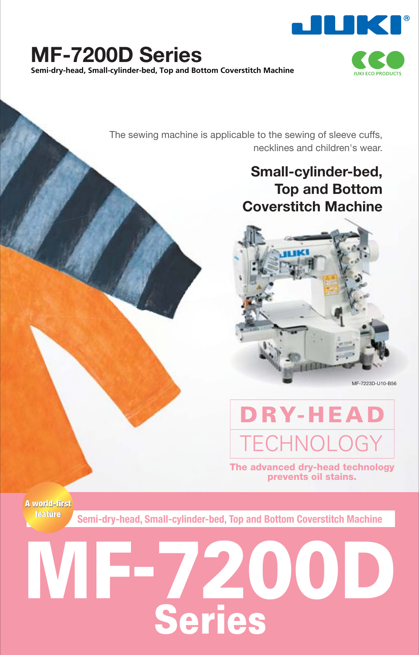

### **MF-7200D Series Semi-dry-head, Small-cylinder-bed, Top and Bottom Coverstitch Machine**



The sewing machine is applicable to the sewing of sleeve cuffs, necklines and children's wear.

### **Small-cylinder-bed, Top and Bottom Coverstitch Machine**



MF-7223D-U10-B56

## **DRY-HEAD** TECHNOLOGY

**The advanced dry-head technology prevents oil stains.**

**A world-first A world-firstfeature**

**Semi-dry-head, Small-cylinder-bed, Top and Bottom Coverstitch Machine**

# **MAD Series**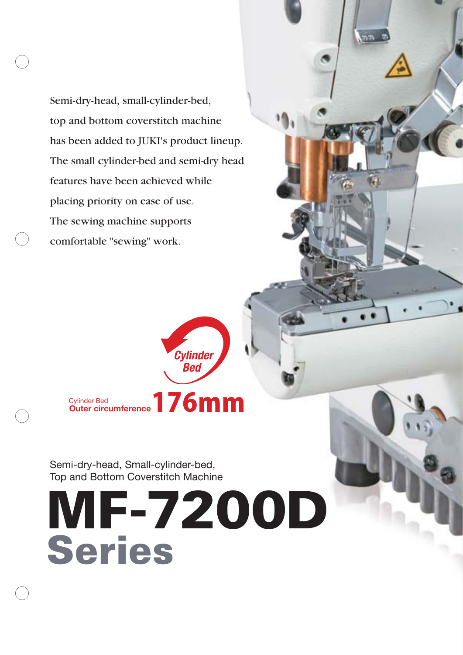Semi-dry-head, small-cylinder-bed, top and bottom coverstitch machine has been added to JUKI's product lineup. The small cylinder-bed and semi-dry head features have been achieved while placing priority on ease of use. The sewing machine supports comfortable "sewing" work.

> Cylinder Bed **Outer circumference**

Semi-dry-head, Small-cylinder-bed, Top and Bottom Coverstitch Machine

**MF-7200D Series**

*Cylinder Bed*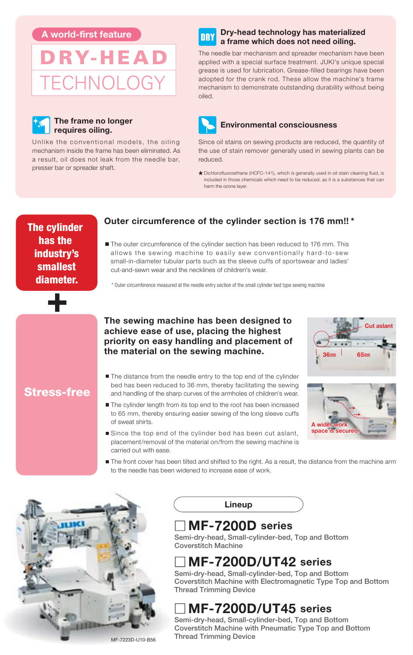



#### **The frame no longer requires oiling.**

Unlike the conventional models, the oiling mechanism inside the frame has been eliminated. As a result, oil does not leak from the needle bar, presser bar or spreader shaft.

#### **Dry-head technology has materialized a frame which does not need oiling.**

The needle bar mechanism and spreader mechanism have been applied with a special surface treatment. JUKI's unique special grease is used for lubrication. Grease-filled bearings have been adopted for the crank rod. These allow the machine's frame mechanism to demonstrate outstanding durability without being oiled.



#### **Environmental consciousness**

Since oil stains on sewing products are reduced, the quantity of the use of stain remover generally used in sewing plants can be reduced.

Dichlorofluoroethane (HCFC-141), which is generally used in oil stain cleaning fluid, is included in those chemicals which need to be reduced, as it is a substances that can harm the ozone layer.

**The cylinder has the industry's smallest diameter.**

#### **Outer circumference of the cylinder section is 176 mm!! \***

■ The outer circumference of the cylinder section has been reduced to 176 mm. This allows the sewing machine to easily sew conventionally hard-to-sew small-in-diameter tubular parts such as the sleeve cuffs of sportswear and ladies' cut-and-sewn wear and the necklines of children's wear. **A world-first feature**<br> **A world-first feature**<br> **A world-first feature**<br> **A** world-first feature and the model of model of model of model of model of model of model of the contribution contains and special states feature

\* Outer circumference measured at the needle entry section of the small cylinder bed type sewing machine

**The sewing machine has been designed to achieve ease of use, placing the highest priority on easy handling and placement of the material on the sewing machine.**

#### **Stress-free**

- The distance from the needle entry to the top end of the cylinder bed has been reduced to 36 mm, thereby facilitating the sewing and handling of the sharp curves of the armholes of children's wear.
- The cylinder length from its top end to the root has been increased to 65 mm, thereby ensuring easier sewing of the long sleeve cuffs of sweat shirts.
- Since the top end of the cylinder bed has been cut aslant, placement/removal of the material on/from the sewing machine is carried out with ease.





The front cover has been tilted and shifted to the right. As a result, the distance from the machine arm to the needle has been widened to increase ease of work.



MF-7223D-U10-B56

**Lineup**

#### **MF-7200D series**

**Semi-dry-head, Small-cylinder-bed, Top and Bottom Coverstitch Machine**

### **MF-7200D/UT42 series**

**Semi-dry-head, Small-cylinder-bed, Top and Bottom Coverstitch Machine with Electromagnetic Type Top and Bottom Thread Trimming Device**

### **MF-7200D/UT45 series**

**Semi-dry-head, Small-cylinder-bed, Top and Bottom Coverstitch Machine with Pneumatic Type Top and Bottom Thread Trimming Device**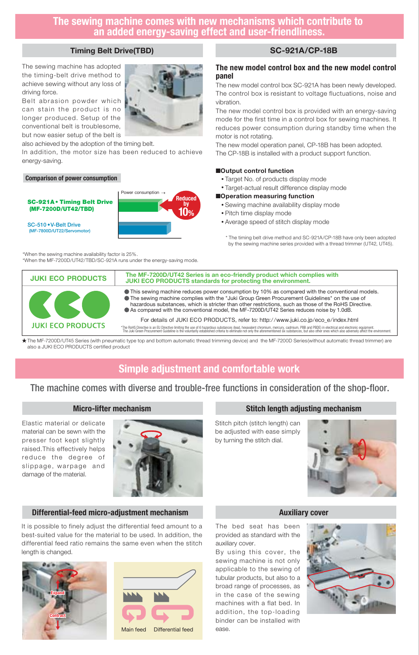#### **The sewing machine comes with new mechanisms which contribute to an added energy-saving effect and user-friendliness.**

#### **Timing Belt Drive(TBD)**

The sewing machine has adopted the timing-belt drive method to achieve sewing without any loss of driving force.

Belt abrasion powder which can stain the product is no longer produced. Setup of the conventional belt is troublesome, but now easier setup of the belt is

also achieved by the adoption of the timing belt.

In addition, the motor size has been reduced to achieve energy-saving.

Power consumption

#### **Comparison of power consumption**

**SC-921A • Timing Belt Drive (MF-7200D/UT42/TBD)**

**SC-510 • V-Belt Drive (MF-7800D/UT22/Servomotor)**



\*When the MF-7200D/UT42/TBD/SC-921A runs under the energy-saving mode.

#### **SC-921A/CP-18B**

#### **The new model control box and the new model control panel**

The new model control box SC-921A has been newly developed. The control box is resistant to voltage fluctuations, noise and vibration.

The new model control box is provided with an energy-saving mode for the first time in a control box for sewing machines. It reduces power consumption during standby time when the motor is not rotating.

The new model operation panel, CP-18B has been adopted. The CP-18B is installed with a product support function.

#### ■**Output control function**

- Target No. of products display mode
- Target-actual result difference display mode

#### ■**Operation measuring function**

- Sewing machine availability display mode
- Pitch time display mode
- Average speed of stitch display mode

\* The timing belt drive method and SC-921A/CP-18B have only been adopted by the sewing machine series provided with a thread trimmer (UT42, UT45).



**Reduced by 10%**

The MF-7200D/UT45 Series (with pneumatic type top and bottom automatic thread trimming device) and the MF-7200D Series(without automatic thread trimmer) are also a JUKI ECO PRODUCTS certified product

#### **Simple adjustment and comfortable work**

#### The machine comes with diverse and trouble-free functions in consideration of the shop-floor.

#### **Micro-lifter mechanism**

Elastic material or delicate material can be sewn with the presser foot kept slightly raised.This effectively helps reduce the degree of slippage, warpage and damage of the material.



#### **Differential-feed micro-adjustment mechanism**

It is possible to finely adjust the differential feed amount to a best-suited value for the material to be used. In addition, the differential feed ratio remains the same even when the stitch length is changed.





#### **Stitch length adjusting mechanism**

Stitch pitch (stitch length) can be adjusted with ease simply by turning the stitch dial.



#### **Auxiliary cover**

The bed seat has been provided as standard with the auxiliary cover.

By using this cover, the sewing machine is not only applicable to the sewing of tubular products, but also to a broad range of processes, as in the case of the sewing machines with a flat bed. In addition, the top-loading binder can be installed with ease.

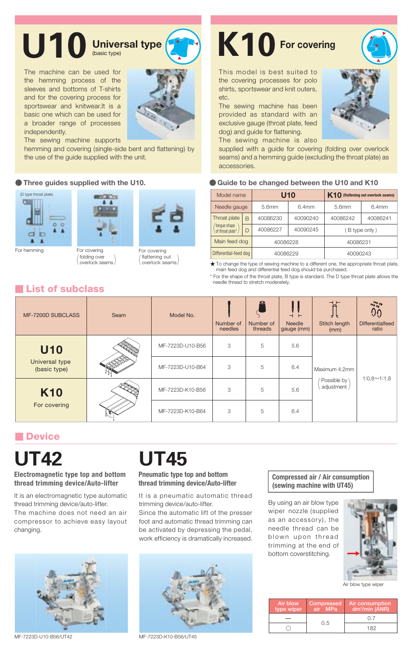## U10 Universal type **K10** For covering

The machine can be used for the hemming process of the sleeves and bottoms of T-shirts and for the covering process for sportswear and knitwear.It is a basic one which can be used for a broader range of processes independently.



The sewing machine supports

hemming and covering (single-side bent and flattening) by the use of the guide supplied with the unit.





folding over<br>
overlock seams



flattening out overlock seams

This model is best suited to the covering processes for polo shirts, sportswear and knit outers, etc.

The sewing machine has been provided as standard with an exclusive gauge (throat plate, feed dog) and guide for flattening. The sewing machine is also



supplied with a guide for covering (folding over overlock seams) and a hemming guide (excluding the throat plate) as accessories.

#### **Three guides supplied with the U10. Caulde to be changed between the U10 and K10**

| Model name                                        |   | U10      |          | K10 (flattening out overlock seams) |          |  |
|---------------------------------------------------|---|----------|----------|-------------------------------------|----------|--|
| Needle gauge                                      |   | 5.6mm    | 6.4mm    | 5.6mm                               | 6.4mm    |  |
| Throat plate<br>'tonque shape<br>of throat plate* | B | 40086230 | 40090240 | 40086242                            | 40086241 |  |
|                                                   | D | 40086227 | 40090245 | (B type only)                       |          |  |
| Main feed dog                                     |   | 40086228 |          | 40086231                            |          |  |
| Differential-feed dog                             |   | 40086229 |          | 40090243                            |          |  |

 $\bigstar$  To change the type of sewing machine to a different one, the appropriate throat plate, main feed dog and differential feed dog should be purchased.

\* For the shape of the throat plate, B type is standard. The D type throat plate allows the needle thread to stretch moderately.

#### **List of subclass**

| MF-7200D SUBCLASS              | Seam | Model No.        | Number of<br>needles | ူ<br>Number of<br>threads | $\overline{\phantom{0}}$<br>$\blacksquare$<br><b>Needle</b><br>gauge (mm) | <b>Stitch length</b><br>(mm)                 | $\frac{1}{2}$<br><b>Differentialfeed</b><br>ratio |
|--------------------------------|------|------------------|----------------------|---------------------------|---------------------------------------------------------------------------|----------------------------------------------|---------------------------------------------------|
| <b>U10</b>                     |      | MF-7223D-U10-B56 | 3                    | 5                         | 5.6                                                                       | Maximum 4.2mm<br>Possible by<br>adjustment / | $1:0.8 \sim 1:1.8$                                |
| Universal type<br>(basic type) |      | MF-7223D-U10-B64 | 3                    | 5                         | 6.4                                                                       |                                              |                                                   |
| <b>K10</b><br>For covering     |      | MF-7223D-K10-B56 | 3                    | 5                         | 5.6                                                                       |                                              |                                                   |
|                                |      | MF-7223D-K10-B64 | 3                    | 5                         | 6.4                                                                       |                                              |                                                   |

#### **Device**

## **UT42 UT45**

**Electromagnetic type top and bottom thread trimming device/Auto-lifter**

It is an electromagnetic type automatic thread trimming device/auto-lifter. The machine does not need an air compressor to achieve easy layout changing.



MF-7223D-U10-B56/UT42 MF-7223D-K10-B56/UT45

#### **Pneumatic type top and bottom thread trimming device/Auto-lifter**

It is a pneumatic automatic thread trimming device/auto-lifter.

Since the automatic lift of the presser foot and automatic thread trimming can be activated by depressing the pedal, work efficiency is dramatically increased.



#### **Compressed air / Air consumption (sewing machine with UT45)**

By using an air blow type wiper nozzle (supplied as an accessory), the needle thread can be blown upon thread trimming at the end of bottom coverstitching.



Air blow type wipe

| Air blow<br>type wiper | <b>Compressed</b><br>air MPa | Air consumption<br>dm <sup>3</sup> /min (ANR) |
|------------------------|------------------------------|-----------------------------------------------|
|                        | 0.5                          | $^{\prime}$                                   |
|                        |                              | 182                                           |